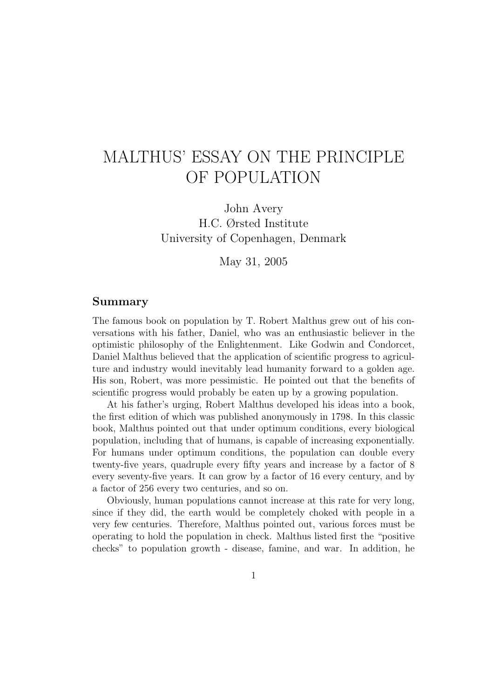# MALTHUS' ESSAY ON THE PRINCIPLE OF POPULATION

John Avery H.C. Ørsted Institute University of Copenhagen, Denmark

May 31, 2005

#### Summary

The famous book on population by T. Robert Malthus grew out of his conversations with his father, Daniel, who was an enthusiastic believer in the optimistic philosophy of the Enlightenment. Like Godwin and Condorcet, Daniel Malthus believed that the application of scientific progress to agriculture and industry would inevitably lead humanity forward to a golden age. His son, Robert, was more pessimistic. He pointed out that the benefits of scientific progress would probably be eaten up by a growing population.

At his father's urging, Robert Malthus developed his ideas into a book, the first edition of which was published anonymously in 1798. In this classic book, Malthus pointed out that under optimum conditions, every biological population, including that of humans, is capable of increasing exponentially. For humans under optimum conditions, the population can double every twenty-five years, quadruple every fifty years and increase by a factor of 8 every seventy-five years. It can grow by a factor of 16 every century, and by a factor of 256 every two centuries, and so on.

Obviously, human populations cannot increase at this rate for very long, since if they did, the earth would be completely choked with people in a very few centuries. Therefore, Malthus pointed out, various forces must be operating to hold the population in check. Malthus listed first the "positive checks" to population growth - disease, famine, and war. In addition, he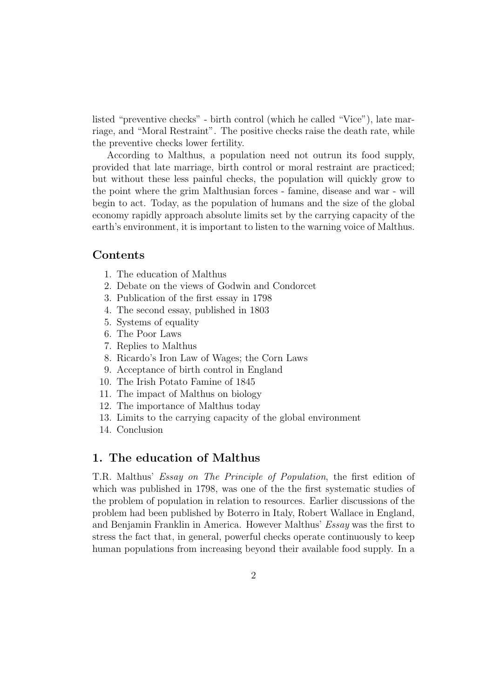listed "preventive checks" - birth control (which he called "Vice"), late marriage, and "Moral Restraint". The positive checks raise the death rate, while the preventive checks lower fertility.

According to Malthus, a population need not outrun its food supply, provided that late marriage, birth control or moral restraint are practiced; but without these less painful checks, the population will quickly grow to the point where the grim Malthusian forces - famine, disease and war - will begin to act. Today, as the population of humans and the size of the global economy rapidly approach absolute limits set by the carrying capacity of the earth's environment, it is important to listen to the warning voice of Malthus.

#### Contents

- 1. The education of Malthus
- 2. Debate on the views of Godwin and Condorcet
- 3. Publication of the first essay in 1798
- 4. The second essay, published in 1803
- 5. Systems of equality
- 6. The Poor Laws
- 7. Replies to Malthus
- 8. Ricardo's Iron Law of Wages; the Corn Laws
- 9. Acceptance of birth control in England
- 10. The Irish Potato Famine of 1845
- 11. The impact of Malthus on biology
- 12. The importance of Malthus today
- 13. Limits to the carrying capacity of the global environment
- 14. Conclusion

#### 1. The education of Malthus

T.R. Malthus' Essay on The Principle of Population, the first edition of which was published in 1798, was one of the the first systematic studies of the problem of population in relation to resources. Earlier discussions of the problem had been published by Boterro in Italy, Robert Wallace in England, and Benjamin Franklin in America. However Malthus' Essay was the first to stress the fact that, in general, powerful checks operate continuously to keep human populations from increasing beyond their available food supply. In a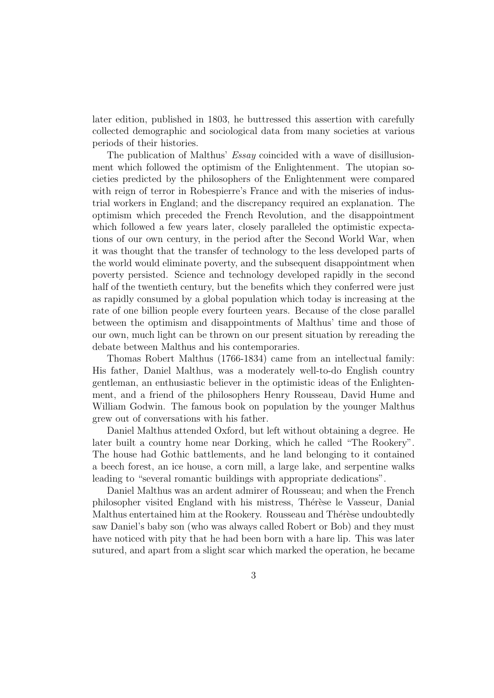later edition, published in 1803, he buttressed this assertion with carefully collected demographic and sociological data from many societies at various periods of their histories.

The publication of Malthus' Essay coincided with a wave of disillusionment which followed the optimism of the Enlightenment. The utopian societies predicted by the philosophers of the Enlightenment were compared with reign of terror in Robespierre's France and with the miseries of industrial workers in England; and the discrepancy required an explanation. The optimism which preceded the French Revolution, and the disappointment which followed a few years later, closely paralleled the optimistic expectations of our own century, in the period after the Second World War, when it was thought that the transfer of technology to the less developed parts of the world would eliminate poverty, and the subsequent disappointment when poverty persisted. Science and technology developed rapidly in the second half of the twentieth century, but the benefits which they conferred were just as rapidly consumed by a global population which today is increasing at the rate of one billion people every fourteen years. Because of the close parallel between the optimism and disappointments of Malthus' time and those of our own, much light can be thrown on our present situation by rereading the debate between Malthus and his contemporaries.

Thomas Robert Malthus (1766-1834) came from an intellectual family: His father, Daniel Malthus, was a moderately well-to-do English country gentleman, an enthusiastic believer in the optimistic ideas of the Enlightenment, and a friend of the philosophers Henry Rousseau, David Hume and William Godwin. The famous book on population by the younger Malthus grew out of conversations with his father.

Daniel Malthus attended Oxford, but left without obtaining a degree. He later built a country home near Dorking, which he called "The Rookery". The house had Gothic battlements, and he land belonging to it contained a beech forest, an ice house, a corn mill, a large lake, and serpentine walks leading to "several romantic buildings with appropriate dedications".

Daniel Malthus was an ardent admirer of Rousseau; and when the French philosopher visited England with his mistress, Thérèse le Vasseur, Danial Malthus entertained him at the Rookery. Rousseau and Thérèse undoubtedly saw Daniel's baby son (who was always called Robert or Bob) and they must have noticed with pity that he had been born with a hare lip. This was later sutured, and apart from a slight scar which marked the operation, he became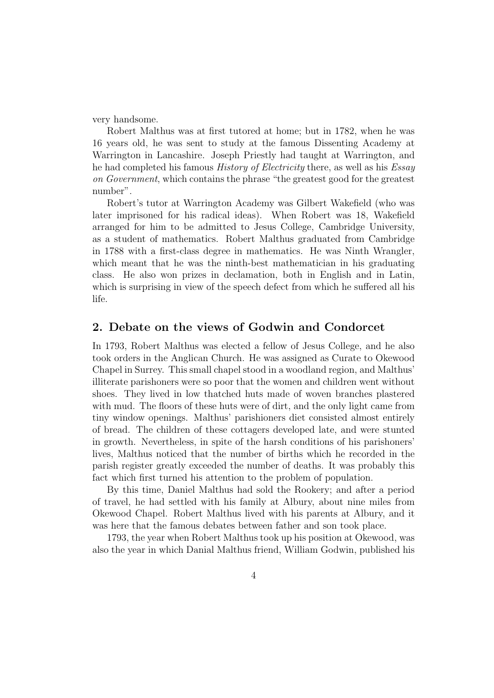very handsome.

Robert Malthus was at first tutored at home; but in 1782, when he was 16 years old, he was sent to study at the famous Dissenting Academy at Warrington in Lancashire. Joseph Priestly had taught at Warrington, and he had completed his famous *History of Electricity* there, as well as his *Essay* on Government, which contains the phrase "the greatest good for the greatest number".

Robert's tutor at Warrington Academy was Gilbert Wakefield (who was later imprisoned for his radical ideas). When Robert was 18, Wakefield arranged for him to be admitted to Jesus College, Cambridge University, as a student of mathematics. Robert Malthus graduated from Cambridge in 1788 with a first-class degree in mathematics. He was Ninth Wrangler, which meant that he was the ninth-best mathematician in his graduating class. He also won prizes in declamation, both in English and in Latin, which is surprising in view of the speech defect from which he suffered all his life.

#### 2. Debate on the views of Godwin and Condorcet

In 1793, Robert Malthus was elected a fellow of Jesus College, and he also took orders in the Anglican Church. He was assigned as Curate to Okewood Chapel in Surrey. This small chapel stood in a woodland region, and Malthus' illiterate parishoners were so poor that the women and children went without shoes. They lived in low thatched huts made of woven branches plastered with mud. The floors of these huts were of dirt, and the only light came from tiny window openings. Malthus' parishioners diet consisted almost entirely of bread. The children of these cottagers developed late, and were stunted in growth. Nevertheless, in spite of the harsh conditions of his parishoners' lives, Malthus noticed that the number of births which he recorded in the parish register greatly exceeded the number of deaths. It was probably this fact which first turned his attention to the problem of population.

By this time, Daniel Malthus had sold the Rookery; and after a period of travel, he had settled with his family at Albury, about nine miles from Okewood Chapel. Robert Malthus lived with his parents at Albury, and it was here that the famous debates between father and son took place.

1793, the year when Robert Malthus took up his position at Okewood, was also the year in which Danial Malthus friend, William Godwin, published his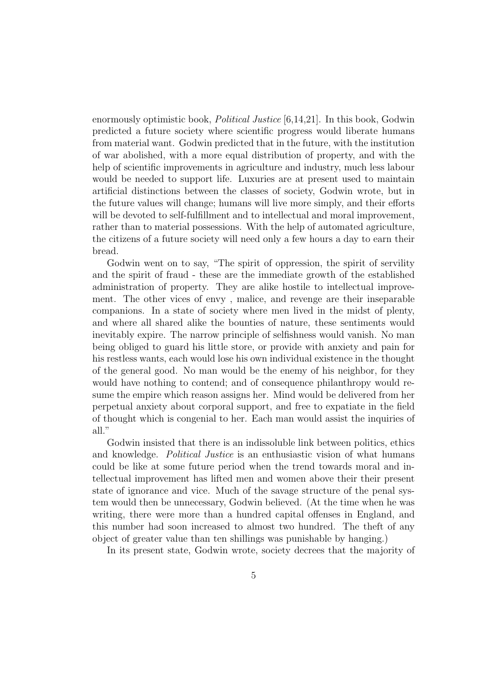enormously optimistic book, Political Justice [6,14,21]. In this book, Godwin predicted a future society where scientific progress would liberate humans from material want. Godwin predicted that in the future, with the institution of war abolished, with a more equal distribution of property, and with the help of scientific improvements in agriculture and industry, much less labour would be needed to support life. Luxuries are at present used to maintain artificial distinctions between the classes of society, Godwin wrote, but in the future values will change; humans will live more simply, and their efforts will be devoted to self-fulfillment and to intellectual and moral improvement, rather than to material possessions. With the help of automated agriculture, the citizens of a future society will need only a few hours a day to earn their bread.

Godwin went on to say, "The spirit of oppression, the spirit of servility and the spirit of fraud - these are the immediate growth of the established administration of property. They are alike hostile to intellectual improvement. The other vices of envy , malice, and revenge are their inseparable companions. In a state of society where men lived in the midst of plenty, and where all shared alike the bounties of nature, these sentiments would inevitably expire. The narrow principle of selfishness would vanish. No man being obliged to guard his little store, or provide with anxiety and pain for his restless wants, each would lose his own individual existence in the thought of the general good. No man would be the enemy of his neighbor, for they would have nothing to contend; and of consequence philanthropy would resume the empire which reason assigns her. Mind would be delivered from her perpetual anxiety about corporal support, and free to expatiate in the field of thought which is congenial to her. Each man would assist the inquiries of all."

Godwin insisted that there is an indissoluble link between politics, ethics and knowledge. Political Justice is an enthusiastic vision of what humans could be like at some future period when the trend towards moral and intellectual improvement has lifted men and women above their their present state of ignorance and vice. Much of the savage structure of the penal system would then be unnecessary, Godwin believed. (At the time when he was writing, there were more than a hundred capital offenses in England, and this number had soon increased to almost two hundred. The theft of any object of greater value than ten shillings was punishable by hanging.)

In its present state, Godwin wrote, society decrees that the majority of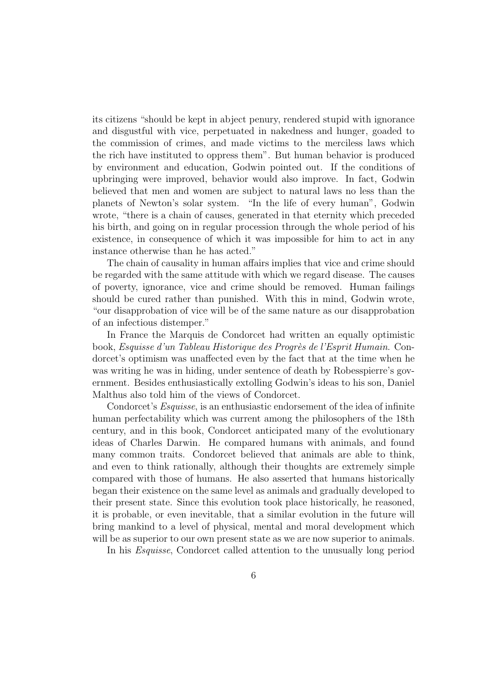its citizens "should be kept in abject penury, rendered stupid with ignorance and disgustful with vice, perpetuated in nakedness and hunger, goaded to the commission of crimes, and made victims to the merciless laws which the rich have instituted to oppress them". But human behavior is produced by environment and education, Godwin pointed out. If the conditions of upbringing were improved, behavior would also improve. In fact, Godwin believed that men and women are subject to natural laws no less than the planets of Newton's solar system. "In the life of every human", Godwin wrote, "there is a chain of causes, generated in that eternity which preceded his birth, and going on in regular procession through the whole period of his existence, in consequence of which it was impossible for him to act in any instance otherwise than he has acted."

The chain of causality in human affairs implies that vice and crime should be regarded with the same attitude with which we regard disease. The causes of poverty, ignorance, vice and crime should be removed. Human failings should be cured rather than punished. With this in mind, Godwin wrote, "our disapprobation of vice will be of the same nature as our disapprobation of an infectious distemper."

In France the Marquis de Condorcet had written an equally optimistic book, Esquisse d'un Tableau Historique des Progrès de l'Esprit Humain. Condorcet's optimism was unaffected even by the fact that at the time when he was writing he was in hiding, under sentence of death by Robesspierre's government. Besides enthusiastically extolling Godwin's ideas to his son, Daniel Malthus also told him of the views of Condorcet.

Condorcet's Esquisse, is an enthusiastic endorsement of the idea of infinite human perfectability which was current among the philosophers of the 18th century, and in this book, Condorcet anticipated many of the evolutionary ideas of Charles Darwin. He compared humans with animals, and found many common traits. Condorcet believed that animals are able to think, and even to think rationally, although their thoughts are extremely simple compared with those of humans. He also asserted that humans historically began their existence on the same level as animals and gradually developed to their present state. Since this evolution took place historically, he reasoned, it is probable, or even inevitable, that a similar evolution in the future will bring mankind to a level of physical, mental and moral development which will be as superior to our own present state as we are now superior to animals.

In his Esquisse, Condorcet called attention to the unusually long period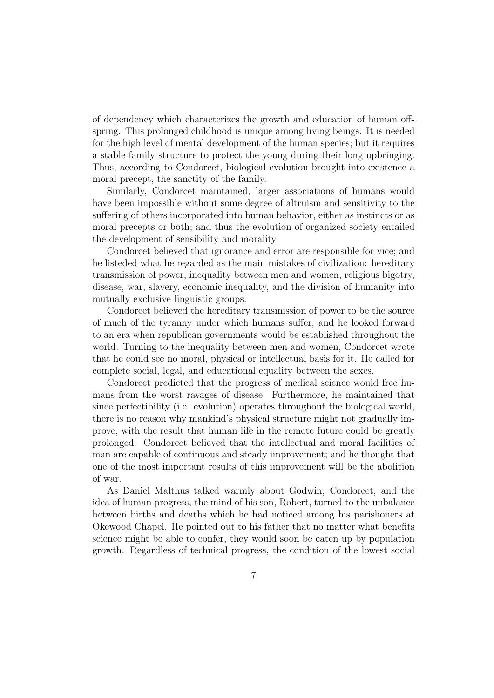of dependency which characterizes the growth and education of human offspring. This prolonged childhood is unique among living beings. It is needed for the high level of mental development of the human species; but it requires a stable family structure to protect the young during their long upbringing. Thus, according to Condorcet, biological evolution brought into existence a moral precept, the sanctity of the family.

Similarly, Condorcet maintained, larger associations of humans would have been impossible without some degree of altruism and sensitivity to the suffering of others incorporated into human behavior, either as instincts or as moral precepts or both; and thus the evolution of organized society entailed the development of sensibility and morality.

Condorcet believed that ignorance and error are responsible for vice; and he listeded what he regarded as the main mistakes of civilization: hereditary transmission of power, inequality between men and women, religious bigotry, disease, war, slavery, economic inequality, and the division of humanity into mutually exclusive linguistic groups.

Condorcet believed the hereditary transmission of power to be the source of much of the tyranny under which humans suffer; and he looked forward to an era when republican governments would be established throughout the world. Turning to the inequality between men and women, Condorcet wrote that he could see no moral, physical or intellectual basis for it. He called for complete social, legal, and educational equality between the sexes.

Condorcet predicted that the progress of medical science would free humans from the worst ravages of disease. Furthermore, he maintained that since perfectibility (i.e. evolution) operates throughout the biological world, there is no reason why mankind's physical structure might not gradually improve, with the result that human life in the remote future could be greatly prolonged. Condorcet believed that the intellectual and moral facilities of man are capable of continuous and steady improvement; and he thought that one of the most important results of this improvement will be the abolition of war.

As Daniel Malthus talked warmly about Godwin, Condorcet, and the idea of human progress, the mind of his son, Robert, turned to the unbalance between births and deaths which he had noticed among his parishoners at Okewood Chapel. He pointed out to his father that no matter what benefits science might be able to confer, they would soon be eaten up by population growth. Regardless of technical progress, the condition of the lowest social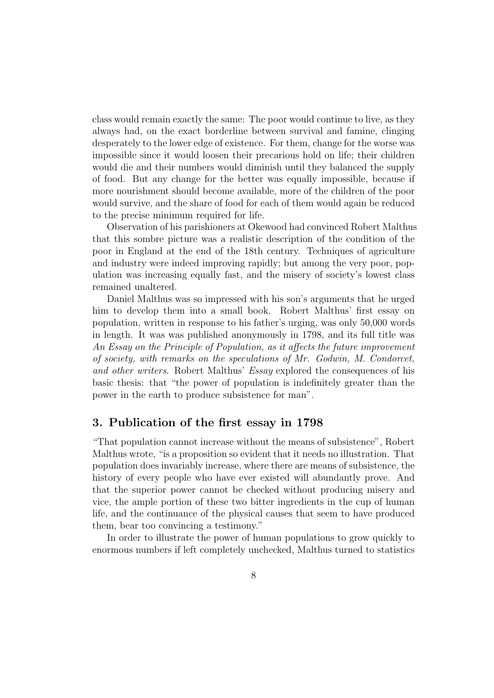class would remain exactly the same: The poor would continue to live, as they always had, on the exact borderline between survival and famine, clinging desperately to the lower edge of existence. For them, change for the worse was impossible since it would loosen their precarious hold on life; their children would die and their numbers would diminish until they balanced the supply of food. But any change for the better was equally impossible, because if more nourishment should become available, more of the children of the poor would survive, and the share of food for each of them would again be reduced to the precise minimum required for life.

Observation of his parishioners at Okewood had convinced Robert Malthus that this sombre picture was a realistic description of the condition of the poor in England at the end of the 18th century. Techniques of agriculture and industry were indeed improving rapidly; but among the very poor, population was increasing equally fast, and the misery of society's lowest class remained unaltered.

Daniel Malthus was so impressed with his son's arguments that he urged him to develop them into a small book. Robert Malthus' first essay on population, written in response to his father's urging, was only 50,000 words in length. It was was published anonymously in 1798, and its full title was An Essay on the Principle of Population, as it affects the future improvement of society, with remarks on the speculations of Mr. Godwin, M. Condorcet, and other writers. Robert Malthus' Essay explored the consequences of his basic thesis: that "the power of population is indefinitely greater than the power in the earth to produce subsistence for man".

#### 3. Publication of the first essay in 1798

"That population cannot increase without the means of subsistence", Robert Malthus wrote, "is a proposition so evident that it needs no illustration. That population does invariably increase, where there are means of subsistence, the history of every people who have ever existed will abundantly prove. And that the superior power cannot be checked without producing misery and vice, the ample portion of these two bitter ingredients in the cup of human life, and the continuance of the physical causes that seem to have produced them, bear too convincing a testimony."

In order to illustrate the power of human populations to grow quickly to enormous numbers if left completely unchecked, Malthus turned to statistics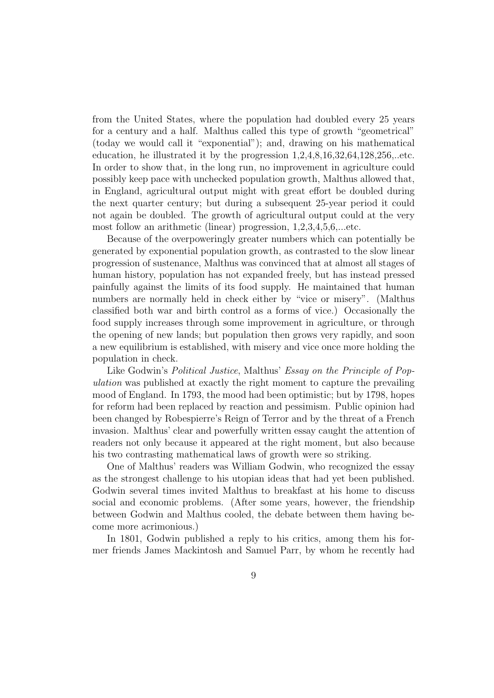from the United States, where the population had doubled every 25 years for a century and a half. Malthus called this type of growth "geometrical" (today we would call it "exponential"); and, drawing on his mathematical education, he illustrated it by the progression 1,2,4,8,16,32,64,128,256,..etc. In order to show that, in the long run, no improvement in agriculture could possibly keep pace with unchecked population growth, Malthus allowed that, in England, agricultural output might with great effort be doubled during the next quarter century; but during a subsequent 25-year period it could not again be doubled. The growth of agricultural output could at the very most follow an arithmetic (linear) progression, 1,2,3,4,5,6,...etc.

Because of the overpoweringly greater numbers which can potentially be generated by exponential population growth, as contrasted to the slow linear progression of sustenance, Malthus was convinced that at almost all stages of human history, population has not expanded freely, but has instead pressed painfully against the limits of its food supply. He maintained that human numbers are normally held in check either by "vice or misery". (Malthus classified both war and birth control as a forms of vice.) Occasionally the food supply increases through some improvement in agriculture, or through the opening of new lands; but population then grows very rapidly, and soon a new equilibrium is established, with misery and vice once more holding the population in check.

Like Godwin's *Political Justice*, Malthus' *Essay on the Principle of Pop*ulation was published at exactly the right moment to capture the prevailing mood of England. In 1793, the mood had been optimistic; but by 1798, hopes for reform had been replaced by reaction and pessimism. Public opinion had been changed by Robespierre's Reign of Terror and by the threat of a French invasion. Malthus' clear and powerfully written essay caught the attention of readers not only because it appeared at the right moment, but also because his two contrasting mathematical laws of growth were so striking.

One of Malthus' readers was William Godwin, who recognized the essay as the strongest challenge to his utopian ideas that had yet been published. Godwin several times invited Malthus to breakfast at his home to discuss social and economic problems. (After some years, however, the friendship between Godwin and Malthus cooled, the debate between them having become more acrimonious.)

In 1801, Godwin published a reply to his critics, among them his former friends James Mackintosh and Samuel Parr, by whom he recently had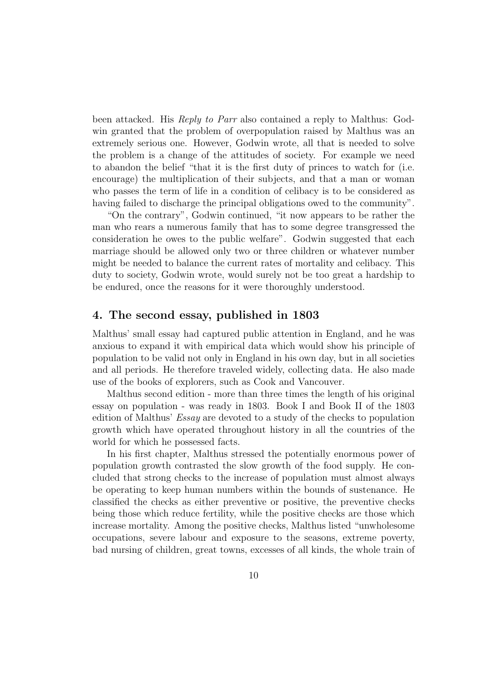been attacked. His Reply to Parr also contained a reply to Malthus: Godwin granted that the problem of overpopulation raised by Malthus was an extremely serious one. However, Godwin wrote, all that is needed to solve the problem is a change of the attitudes of society. For example we need to abandon the belief "that it is the first duty of princes to watch for (i.e. encourage) the multiplication of their subjects, and that a man or woman who passes the term of life in a condition of celibacy is to be considered as having failed to discharge the principal obligations owed to the community".

"On the contrary", Godwin continued, "it now appears to be rather the man who rears a numerous family that has to some degree transgressed the consideration he owes to the public welfare". Godwin suggested that each marriage should be allowed only two or three children or whatever number might be needed to balance the current rates of mortality and celibacy. This duty to society, Godwin wrote, would surely not be too great a hardship to be endured, once the reasons for it were thoroughly understood.

### 4. The second essay, published in 1803

Malthus' small essay had captured public attention in England, and he was anxious to expand it with empirical data which would show his principle of population to be valid not only in England in his own day, but in all societies and all periods. He therefore traveled widely, collecting data. He also made use of the books of explorers, such as Cook and Vancouver.

Malthus second edition - more than three times the length of his original essay on population - was ready in 1803. Book I and Book II of the 1803 edition of Malthus' Essay are devoted to a study of the checks to population growth which have operated throughout history in all the countries of the world for which he possessed facts.

In his first chapter, Malthus stressed the potentially enormous power of population growth contrasted the slow growth of the food supply. He concluded that strong checks to the increase of population must almost always be operating to keep human numbers within the bounds of sustenance. He classified the checks as either preventive or positive, the preventive checks being those which reduce fertility, while the positive checks are those which increase mortality. Among the positive checks, Malthus listed "unwholesome occupations, severe labour and exposure to the seasons, extreme poverty, bad nursing of children, great towns, excesses of all kinds, the whole train of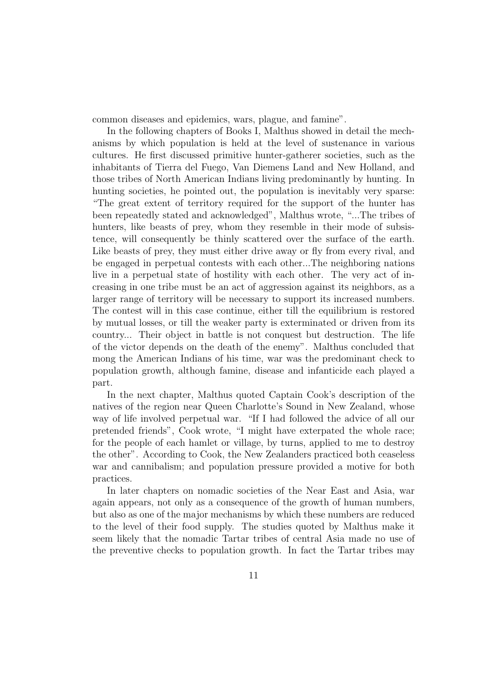common diseases and epidemics, wars, plague, and famine".

In the following chapters of Books I, Malthus showed in detail the mechanisms by which population is held at the level of sustenance in various cultures. He first discussed primitive hunter-gatherer societies, such as the inhabitants of Tierra del Fuego, Van Diemens Land and New Holland, and those tribes of North American Indians living predominantly by hunting. In hunting societies, he pointed out, the population is inevitably very sparse: "The great extent of territory required for the support of the hunter has been repeatedly stated and acknowledged", Malthus wrote, "...The tribes of hunters, like beasts of prey, whom they resemble in their mode of subsistence, will consequently be thinly scattered over the surface of the earth. Like beasts of prey, they must either drive away or fly from every rival, and be engaged in perpetual contests with each other...The neighboring nations live in a perpetual state of hostility with each other. The very act of increasing in one tribe must be an act of aggression against its neighbors, as a larger range of territory will be necessary to support its increased numbers. The contest will in this case continue, either till the equilibrium is restored by mutual losses, or till the weaker party is exterminated or driven from its country... Their object in battle is not conquest but destruction. The life of the victor depends on the death of the enemy". Malthus concluded that mong the American Indians of his time, war was the predominant check to population growth, although famine, disease and infanticide each played a part.

In the next chapter, Malthus quoted Captain Cook's description of the natives of the region near Queen Charlotte's Sound in New Zealand, whose way of life involved perpetual war. "If I had followed the advice of all our pretended friends", Cook wrote, "I might have exterpated the whole race; for the people of each hamlet or village, by turns, applied to me to destroy the other". According to Cook, the New Zealanders practiced both ceaseless war and cannibalism; and population pressure provided a motive for both practices.

In later chapters on nomadic societies of the Near East and Asia, war again appears, not only as a consequence of the growth of human numbers, but also as one of the major mechanisms by which these numbers are reduced to the level of their food supply. The studies quoted by Malthus make it seem likely that the nomadic Tartar tribes of central Asia made no use of the preventive checks to population growth. In fact the Tartar tribes may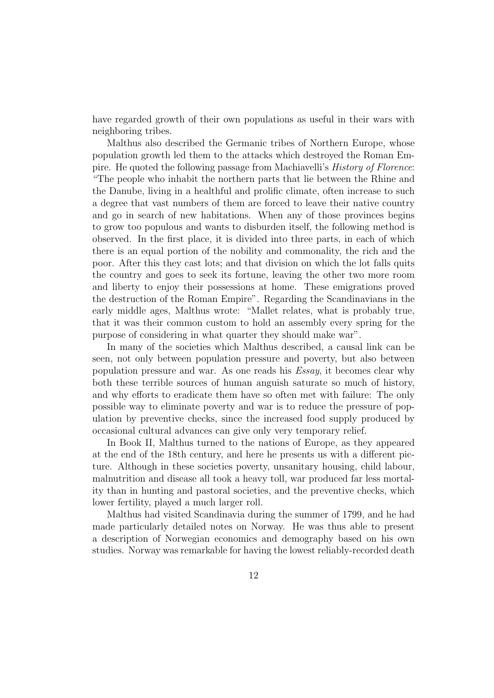have regarded growth of their own populations as useful in their wars with neighboring tribes.

Malthus also described the Germanic tribes of Northern Europe, whose population growth led them to the attacks which destroyed the Roman Empire. He quoted the following passage from Machiavelli's History of Florence: "The people who inhabit the northern parts that lie between the Rhine and the Danube, living in a healthful and prolific climate, often increase to such a degree that vast numbers of them are forced to leave their native country and go in search of new habitations. When any of those provinces begins to grow too populous and wants to disburden itself, the following method is observed. In the first place, it is divided into three parts, in each of which there is an equal portion of the nobility and commonality, the rich and the poor. After this they cast lots; and that division on which the lot falls quits the country and goes to seek its fortune, leaving the other two more room and liberty to enjoy their possessions at home. These emigrations proved the destruction of the Roman Empire". Regarding the Scandinavians in the early middle ages, Malthus wrote: "Mallet relates, what is probably true, that it was their common custom to hold an assembly every spring for the purpose of considering in what quarter they should make war".

In many of the societies which Malthus described, a causal link can be seen, not only between population pressure and poverty, but also between population pressure and war. As one reads his Essay, it becomes clear why both these terrible sources of human anguish saturate so much of history, and why efforts to eradicate them have so often met with failure: The only possible way to eliminate poverty and war is to reduce the pressure of population by preventive checks, since the increased food supply produced by occasional cultural advances can give only very temporary relief.

In Book II, Malthus turned to the nations of Europe, as they appeared at the end of the 18th century, and here he presents us with a different picture. Although in these societies poverty, unsanitary housing, child labour, malnutrition and disease all took a heavy toll, war produced far less mortality than in hunting and pastoral societies, and the preventive checks, which lower fertility, played a much larger roll.

Malthus had visited Scandinavia during the summer of 1799, and he had made particularly detailed notes on Norway. He was thus able to present a description of Norwegian economics and demography based on his own studies. Norway was remarkable for having the lowest reliably-recorded death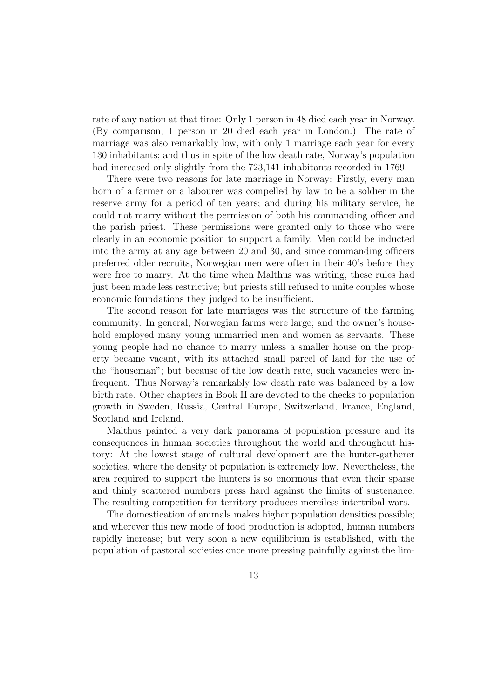rate of any nation at that time: Only 1 person in 48 died each year in Norway. (By comparison, 1 person in 20 died each year in London.) The rate of marriage was also remarkably low, with only 1 marriage each year for every 130 inhabitants; and thus in spite of the low death rate, Norway's population had increased only slightly from the 723,141 inhabitants recorded in 1769.

There were two reasons for late marriage in Norway: Firstly, every man born of a farmer or a labourer was compelled by law to be a soldier in the reserve army for a period of ten years; and during his military service, he could not marry without the permission of both his commanding officer and the parish priest. These permissions were granted only to those who were clearly in an economic position to support a family. Men could be inducted into the army at any age between 20 and 30, and since commanding officers preferred older recruits, Norwegian men were often in their 40's before they were free to marry. At the time when Malthus was writing, these rules had just been made less restrictive; but priests still refused to unite couples whose economic foundations they judged to be insufficient.

The second reason for late marriages was the structure of the farming community. In general, Norwegian farms were large; and the owner's household employed many young unmarried men and women as servants. These young people had no chance to marry unless a smaller house on the property became vacant, with its attached small parcel of land for the use of the "houseman"; but because of the low death rate, such vacancies were infrequent. Thus Norway's remarkably low death rate was balanced by a low birth rate. Other chapters in Book II are devoted to the checks to population growth in Sweden, Russia, Central Europe, Switzerland, France, England, Scotland and Ireland.

Malthus painted a very dark panorama of population pressure and its consequences in human societies throughout the world and throughout history: At the lowest stage of cultural development are the hunter-gatherer societies, where the density of population is extremely low. Nevertheless, the area required to support the hunters is so enormous that even their sparse and thinly scattered numbers press hard against the limits of sustenance. The resulting competition for territory produces merciless intertribal wars.

The domestication of animals makes higher population densities possible; and wherever this new mode of food production is adopted, human numbers rapidly increase; but very soon a new equilibrium is established, with the population of pastoral societies once more pressing painfully against the lim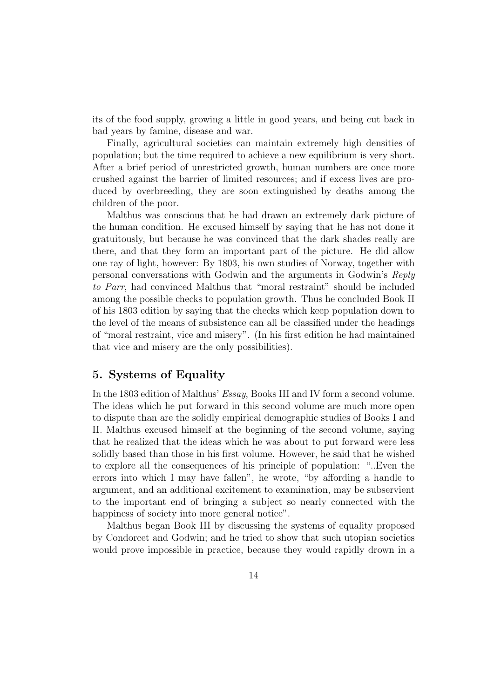its of the food supply, growing a little in good years, and being cut back in bad years by famine, disease and war.

Finally, agricultural societies can maintain extremely high densities of population; but the time required to achieve a new equilibrium is very short. After a brief period of unrestricted growth, human numbers are once more crushed against the barrier of limited resources; and if excess lives are produced by overbreeding, they are soon extinguished by deaths among the children of the poor.

Malthus was conscious that he had drawn an extremely dark picture of the human condition. He excused himself by saying that he has not done it gratuitously, but because he was convinced that the dark shades really are there, and that they form an important part of the picture. He did allow one ray of light, however: By 1803, his own studies of Norway, together with personal conversations with Godwin and the arguments in Godwin's Reply to Parr, had convinced Malthus that "moral restraint" should be included among the possible checks to population growth. Thus he concluded Book II of his 1803 edition by saying that the checks which keep population down to the level of the means of subsistence can all be classified under the headings of "moral restraint, vice and misery". (In his first edition he had maintained that vice and misery are the only possibilities).

# 5. Systems of Equality

In the 1803 edition of Malthus' Essay, Books III and IV form a second volume. The ideas which he put forward in this second volume are much more open to dispute than are the solidly empirical demographic studies of Books I and II. Malthus excused himself at the beginning of the second volume, saying that he realized that the ideas which he was about to put forward were less solidly based than those in his first volume. However, he said that he wished to explore all the consequences of his principle of population: "..Even the errors into which I may have fallen", he wrote, "by affording a handle to argument, and an additional excitement to examination, may be subservient to the important end of bringing a subject so nearly connected with the happiness of society into more general notice".

Malthus began Book III by discussing the systems of equality proposed by Condorcet and Godwin; and he tried to show that such utopian societies would prove impossible in practice, because they would rapidly drown in a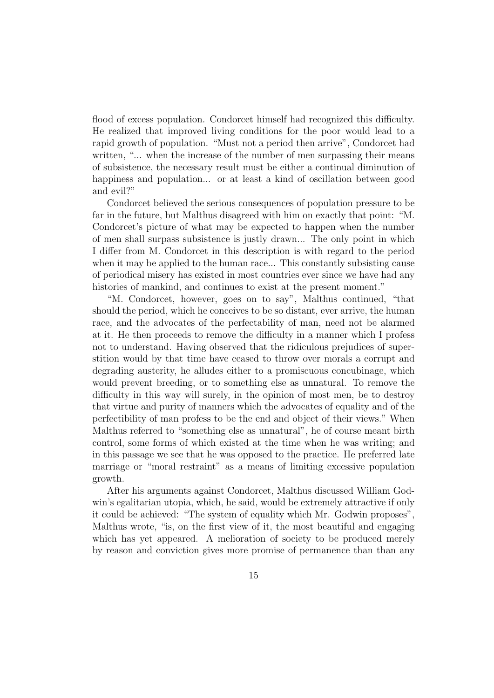flood of excess population. Condorcet himself had recognized this difficulty. He realized that improved living conditions for the poor would lead to a rapid growth of population. "Must not a period then arrive", Condorcet had written, "... when the increase of the number of men surpassing their means of subsistence, the necessary result must be either a continual diminution of happiness and population... or at least a kind of oscillation between good and evil?"

Condorcet believed the serious consequences of population pressure to be far in the future, but Malthus disagreed with him on exactly that point: "M. Condorcet's picture of what may be expected to happen when the number of men shall surpass subsistence is justly drawn... The only point in which I differ from M. Condorcet in this description is with regard to the period when it may be applied to the human race... This constantly subsisting cause of periodical misery has existed in most countries ever since we have had any histories of mankind, and continues to exist at the present moment."

"M. Condorcet, however, goes on to say", Malthus continued, "that should the period, which he conceives to be so distant, ever arrive, the human race, and the advocates of the perfectability of man, need not be alarmed at it. He then proceeds to remove the difficulty in a manner which I profess not to understand. Having observed that the ridiculous prejudices of superstition would by that time have ceased to throw over morals a corrupt and degrading austerity, he alludes either to a promiscuous concubinage, which would prevent breeding, or to something else as unnatural. To remove the difficulty in this way will surely, in the opinion of most men, be to destroy that virtue and purity of manners which the advocates of equality and of the perfectibility of man profess to be the end and object of their views." When Malthus referred to "something else as unnatural", he of course meant birth control, some forms of which existed at the time when he was writing; and in this passage we see that he was opposed to the practice. He preferred late marriage or "moral restraint" as a means of limiting excessive population growth.

After his arguments against Condorcet, Malthus discussed William Godwin's egalitarian utopia, which, he said, would be extremely attractive if only it could be achieved: "The system of equality which Mr. Godwin proposes", Malthus wrote, "is, on the first view of it, the most beautiful and engaging which has yet appeared. A melioration of society to be produced merely by reason and conviction gives more promise of permanence than than any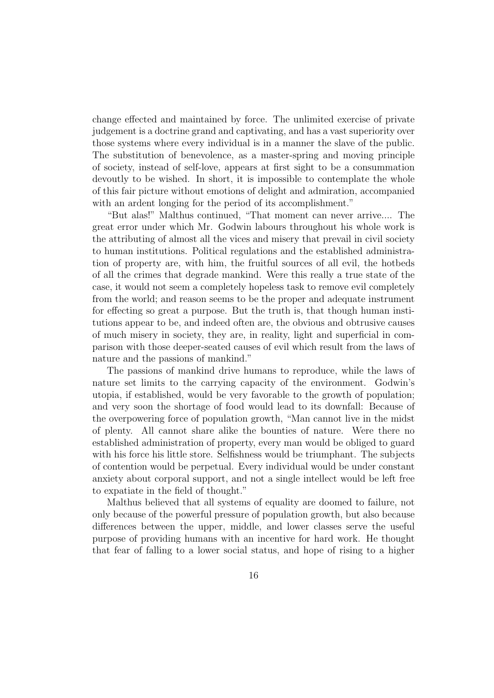change effected and maintained by force. The unlimited exercise of private judgement is a doctrine grand and captivating, and has a vast superiority over those systems where every individual is in a manner the slave of the public. The substitution of benevolence, as a master-spring and moving principle of society, instead of self-love, appears at first sight to be a consummation devoutly to be wished. In short, it is impossible to contemplate the whole of this fair picture without emotions of delight and admiration, accompanied with an ardent longing for the period of its accomplishment."

"But alas!" Malthus continued, "That moment can never arrive.... The great error under which Mr. Godwin labours throughout his whole work is the attributing of almost all the vices and misery that prevail in civil society to human institutions. Political regulations and the established administration of property are, with him, the fruitful sources of all evil, the hotbeds of all the crimes that degrade mankind. Were this really a true state of the case, it would not seem a completely hopeless task to remove evil completely from the world; and reason seems to be the proper and adequate instrument for effecting so great a purpose. But the truth is, that though human institutions appear to be, and indeed often are, the obvious and obtrusive causes of much misery in society, they are, in reality, light and superficial in comparison with those deeper-seated causes of evil which result from the laws of nature and the passions of mankind."

The passions of mankind drive humans to reproduce, while the laws of nature set limits to the carrying capacity of the environment. Godwin's utopia, if established, would be very favorable to the growth of population; and very soon the shortage of food would lead to its downfall: Because of the overpowering force of population growth, "Man cannot live in the midst of plenty. All cannot share alike the bounties of nature. Were there no established administration of property, every man would be obliged to guard with his force his little store. Selfishness would be triumphant. The subjects of contention would be perpetual. Every individual would be under constant anxiety about corporal support, and not a single intellect would be left free to expatiate in the field of thought."

Malthus believed that all systems of equality are doomed to failure, not only because of the powerful pressure of population growth, but also because differences between the upper, middle, and lower classes serve the useful purpose of providing humans with an incentive for hard work. He thought that fear of falling to a lower social status, and hope of rising to a higher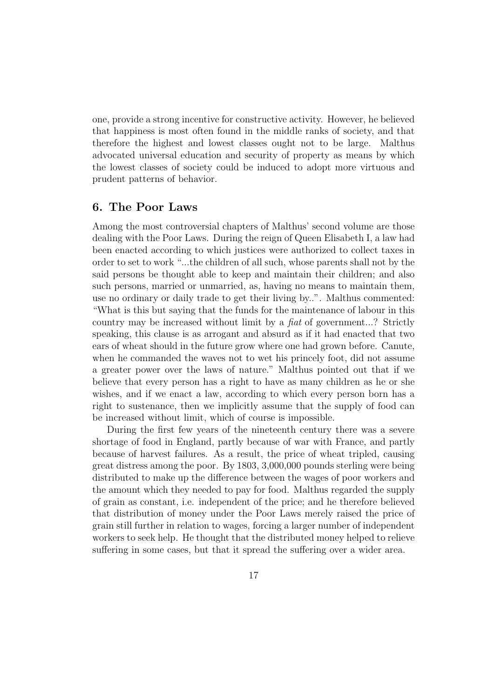one, provide a strong incentive for constructive activity. However, he believed that happiness is most often found in the middle ranks of society, and that therefore the highest and lowest classes ought not to be large. Malthus advocated universal education and security of property as means by which the lowest classes of society could be induced to adopt more virtuous and prudent patterns of behavior.

# 6. The Poor Laws

Among the most controversial chapters of Malthus' second volume are those dealing with the Poor Laws. During the reign of Queen Elisabeth I, a law had been enacted according to which justices were authorized to collect taxes in order to set to work "...the children of all such, whose parents shall not by the said persons be thought able to keep and maintain their children; and also such persons, married or unmarried, as, having no means to maintain them, use no ordinary or daily trade to get their living by..". Malthus commented: "What is this but saying that the funds for the maintenance of labour in this country may be increased without limit by a fiat of government...? Strictly speaking, this clause is as arrogant and absurd as if it had enacted that two ears of wheat should in the future grow where one had grown before. Canute, when he commanded the waves not to wet his princely foot, did not assume a greater power over the laws of nature." Malthus pointed out that if we believe that every person has a right to have as many children as he or she wishes, and if we enact a law, according to which every person born has a right to sustenance, then we implicitly assume that the supply of food can be increased without limit, which of course is impossible.

During the first few years of the nineteenth century there was a severe shortage of food in England, partly because of war with France, and partly because of harvest failures. As a result, the price of wheat tripled, causing great distress among the poor. By 1803, 3,000,000 pounds sterling were being distributed to make up the difference between the wages of poor workers and the amount which they needed to pay for food. Malthus regarded the supply of grain as constant, i.e. independent of the price; and he therefore believed that distribution of money under the Poor Laws merely raised the price of grain still further in relation to wages, forcing a larger number of independent workers to seek help. He thought that the distributed money helped to relieve suffering in some cases, but that it spread the suffering over a wider area.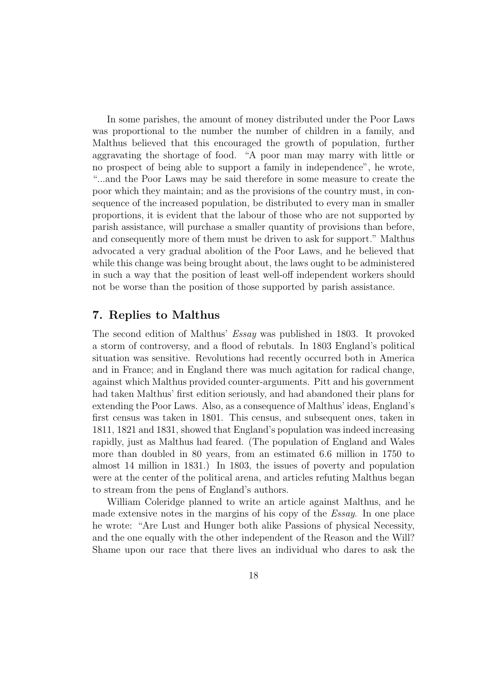In some parishes, the amount of money distributed under the Poor Laws was proportional to the number the number of children in a family, and Malthus believed that this encouraged the growth of population, further aggravating the shortage of food. "A poor man may marry with little or no prospect of being able to support a family in independence", he wrote, "...and the Poor Laws may be said therefore in some measure to create the poor which they maintain; and as the provisions of the country must, in consequence of the increased population, be distributed to every man in smaller proportions, it is evident that the labour of those who are not supported by parish assistance, will purchase a smaller quantity of provisions than before, and consequently more of them must be driven to ask for support." Malthus advocated a very gradual abolition of the Poor Laws, and he believed that while this change was being brought about, the laws ought to be administered in such a way that the position of least well-off independent workers should not be worse than the position of those supported by parish assistance.

# 7. Replies to Malthus

The second edition of Malthus' Essay was published in 1803. It provoked a storm of controversy, and a flood of rebutals. In 1803 England's political situation was sensitive. Revolutions had recently occurred both in America and in France; and in England there was much agitation for radical change, against which Malthus provided counter-arguments. Pitt and his government had taken Malthus' first edition seriously, and had abandoned their plans for extending the Poor Laws. Also, as a consequence of Malthus' ideas, England's first census was taken in 1801. This census, and subsequent ones, taken in 1811, 1821 and 1831, showed that England's population was indeed increasing rapidly, just as Malthus had feared. (The population of England and Wales more than doubled in 80 years, from an estimated 6.6 million in 1750 to almost 14 million in 1831.) In 1803, the issues of poverty and population were at the center of the political arena, and articles refuting Malthus began to stream from the pens of England's authors.

William Coleridge planned to write an article against Malthus, and he made extensive notes in the margins of his copy of the Essay. In one place he wrote: "Are Lust and Hunger both alike Passions of physical Necessity, and the one equally with the other independent of the Reason and the Will? Shame upon our race that there lives an individual who dares to ask the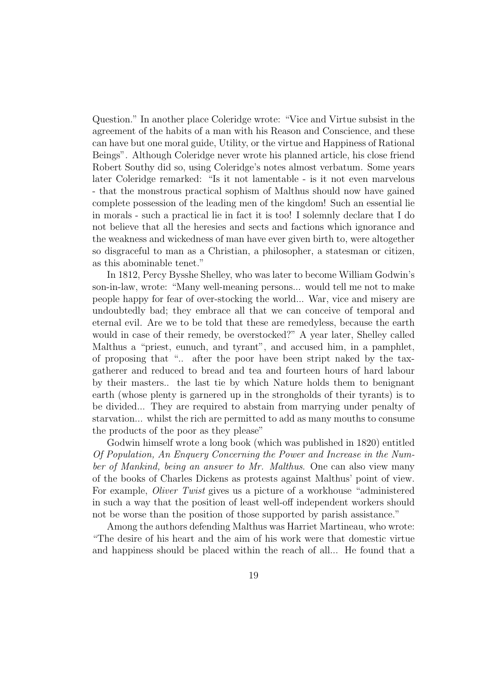Question." In another place Coleridge wrote: "Vice and Virtue subsist in the agreement of the habits of a man with his Reason and Conscience, and these can have but one moral guide, Utility, or the virtue and Happiness of Rational Beings". Although Coleridge never wrote his planned article, his close friend Robert Southy did so, using Coleridge's notes almost verbatum. Some years later Coleridge remarked: "Is it not lamentable - is it not even marvelous - that the monstrous practical sophism of Malthus should now have gained complete possession of the leading men of the kingdom! Such an essential lie in morals - such a practical lie in fact it is too! I solemnly declare that I do not believe that all the heresies and sects and factions which ignorance and the weakness and wickedness of man have ever given birth to, were altogether so disgraceful to man as a Christian, a philosopher, a statesman or citizen, as this abominable tenet."

In 1812, Percy Bysshe Shelley, who was later to become William Godwin's son-in-law, wrote: "Many well-meaning persons... would tell me not to make people happy for fear of over-stocking the world... War, vice and misery are undoubtedly bad; they embrace all that we can conceive of temporal and eternal evil. Are we to be told that these are remedyless, because the earth would in case of their remedy, be overstocked?" A year later, Shelley called Malthus a "priest, eunuch, and tyrant", and accused him, in a pamphlet, of proposing that ".. after the poor have been stript naked by the taxgatherer and reduced to bread and tea and fourteen hours of hard labour by their masters.. the last tie by which Nature holds them to benignant earth (whose plenty is garnered up in the strongholds of their tyrants) is to be divided... They are required to abstain from marrying under penalty of starvation... whilst the rich are permitted to add as many mouths to consume the products of the poor as they please"

Godwin himself wrote a long book (which was published in 1820) entitled Of Population, An Enquery Concerning the Power and Increase in the Number of Mankind, being an answer to Mr. Malthus. One can also view many of the books of Charles Dickens as protests against Malthus' point of view. For example, Oliver Twist gives us a picture of a workhouse "administered in such a way that the position of least well-off independent workers should not be worse than the position of those supported by parish assistance."

Among the authors defending Malthus was Harriet Martineau, who wrote: "The desire of his heart and the aim of his work were that domestic virtue and happiness should be placed within the reach of all... He found that a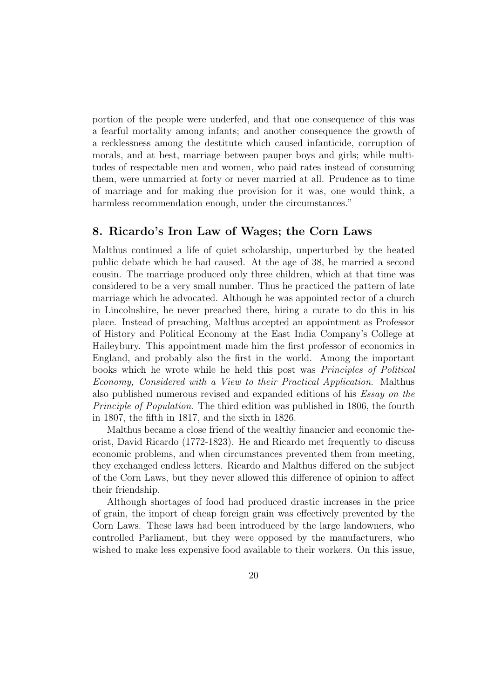portion of the people were underfed, and that one consequence of this was a fearful mortality among infants; and another consequence the growth of a recklessness among the destitute which caused infanticide, corruption of morals, and at best, marriage between pauper boys and girls; while multitudes of respectable men and women, who paid rates instead of consuming them, were unmarried at forty or never married at all. Prudence as to time of marriage and for making due provision for it was, one would think, a harmless recommendation enough, under the circumstances."

# 8. Ricardo's Iron Law of Wages; the Corn Laws

Malthus continued a life of quiet scholarship, unperturbed by the heated public debate which he had caused. At the age of 38, he married a second cousin. The marriage produced only three children, which at that time was considered to be a very small number. Thus he practiced the pattern of late marriage which he advocated. Although he was appointed rector of a church in Lincolnshire, he never preached there, hiring a curate to do this in his place. Instead of preaching, Malthus accepted an appointment as Professor of History and Political Economy at the East India Company's College at Haileybury. This appointment made him the first professor of economics in England, and probably also the first in the world. Among the important books which he wrote while he held this post was Principles of Political Economy, Considered with a View to their Practical Application. Malthus also published numerous revised and expanded editions of his Essay on the Principle of Population. The third edition was published in 1806, the fourth in 1807, the fifth in 1817, and the sixth in 1826.

Malthus became a close friend of the wealthy financier and economic theorist, David Ricardo (1772-1823). He and Ricardo met frequently to discuss economic problems, and when circumstances prevented them from meeting, they exchanged endless letters. Ricardo and Malthus differed on the subject of the Corn Laws, but they never allowed this difference of opinion to affect their friendship.

Although shortages of food had produced drastic increases in the price of grain, the import of cheap foreign grain was effectively prevented by the Corn Laws. These laws had been introduced by the large landowners, who controlled Parliament, but they were opposed by the manufacturers, who wished to make less expensive food available to their workers. On this issue,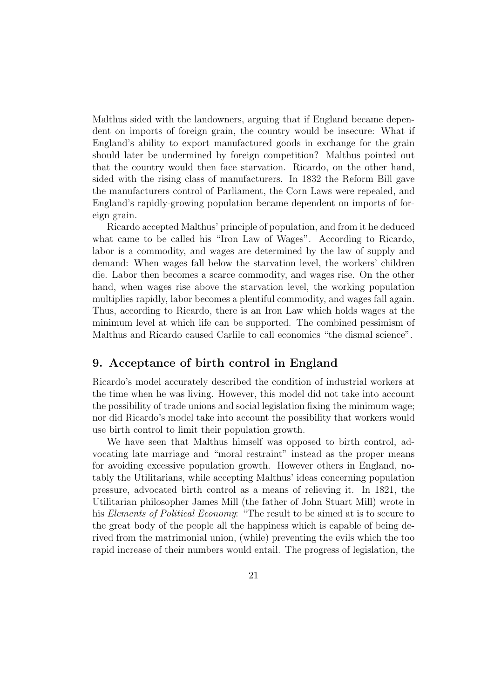Malthus sided with the landowners, arguing that if England became dependent on imports of foreign grain, the country would be insecure: What if England's ability to export manufactured goods in exchange for the grain should later be undermined by foreign competition? Malthus pointed out that the country would then face starvation. Ricardo, on the other hand, sided with the rising class of manufacturers. In 1832 the Reform Bill gave the manufacturers control of Parliament, the Corn Laws were repealed, and England's rapidly-growing population became dependent on imports of foreign grain.

Ricardo accepted Malthus' principle of population, and from it he deduced what came to be called his "Iron Law of Wages". According to Ricardo, labor is a commodity, and wages are determined by the law of supply and demand: When wages fall below the starvation level, the workers' children die. Labor then becomes a scarce commodity, and wages rise. On the other hand, when wages rise above the starvation level, the working population multiplies rapidly, labor becomes a plentiful commodity, and wages fall again. Thus, according to Ricardo, there is an Iron Law which holds wages at the minimum level at which life can be supported. The combined pessimism of Malthus and Ricardo caused Carlile to call economics "the dismal science".

#### 9. Acceptance of birth control in England

Ricardo's model accurately described the condition of industrial workers at the time when he was living. However, this model did not take into account the possibility of trade unions and social legislation fixing the minimum wage; nor did Ricardo's model take into account the possibility that workers would use birth control to limit their population growth.

We have seen that Malthus himself was opposed to birth control, advocating late marriage and "moral restraint" instead as the proper means for avoiding excessive population growth. However others in England, notably the Utilitarians, while accepting Malthus' ideas concerning population pressure, advocated birth control as a means of relieving it. In 1821, the Utilitarian philosopher James Mill (the father of John Stuart Mill) wrote in his Elements of Political Economy: "The result to be aimed at is to secure to the great body of the people all the happiness which is capable of being derived from the matrimonial union, (while) preventing the evils which the too rapid increase of their numbers would entail. The progress of legislation, the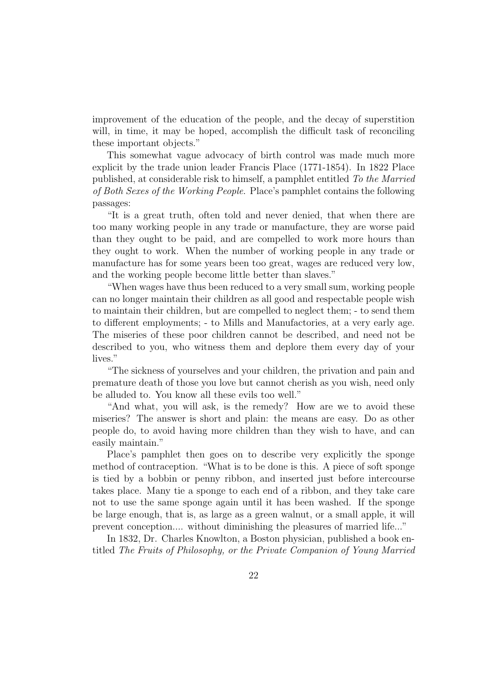improvement of the education of the people, and the decay of superstition will, in time, it may be hoped, accomplish the difficult task of reconciling these important objects."

This somewhat vague advocacy of birth control was made much more explicit by the trade union leader Francis Place (1771-1854). In 1822 Place published, at considerable risk to himself, a pamphlet entitled To the Married of Both Sexes of the Working People. Place's pamphlet contains the following passages:

"It is a great truth, often told and never denied, that when there are too many working people in any trade or manufacture, they are worse paid than they ought to be paid, and are compelled to work more hours than they ought to work. When the number of working people in any trade or manufacture has for some years been too great, wages are reduced very low, and the working people become little better than slaves."

"When wages have thus been reduced to a very small sum, working people can no longer maintain their children as all good and respectable people wish to maintain their children, but are compelled to neglect them; - to send them to different employments; - to Mills and Manufactories, at a very early age. The miseries of these poor children cannot be described, and need not be described to you, who witness them and deplore them every day of your lives."

"The sickness of yourselves and your children, the privation and pain and premature death of those you love but cannot cherish as you wish, need only be alluded to. You know all these evils too well."

"And what, you will ask, is the remedy? How are we to avoid these miseries? The answer is short and plain: the means are easy. Do as other people do, to avoid having more children than they wish to have, and can easily maintain."

Place's pamphlet then goes on to describe very explicitly the sponge method of contraception. "What is to be done is this. A piece of soft sponge is tied by a bobbin or penny ribbon, and inserted just before intercourse takes place. Many tie a sponge to each end of a ribbon, and they take care not to use the same sponge again until it has been washed. If the sponge be large enough, that is, as large as a green walnut, or a small apple, it will prevent conception.... without diminishing the pleasures of married life..."

In 1832, Dr. Charles Knowlton, a Boston physician, published a book entitled The Fruits of Philosophy, or the Private Companion of Young Married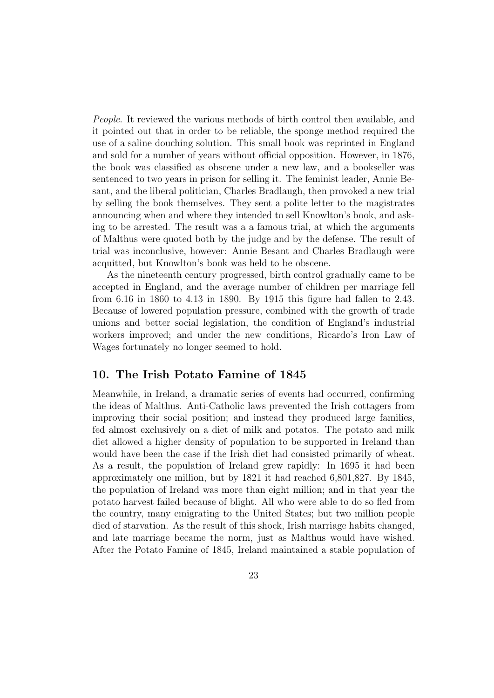People. It reviewed the various methods of birth control then available, and it pointed out that in order to be reliable, the sponge method required the use of a saline douching solution. This small book was reprinted in England and sold for a number of years without official opposition. However, in 1876, the book was classified as obscene under a new law, and a bookseller was sentenced to two years in prison for selling it. The feminist leader, Annie Besant, and the liberal politician, Charles Bradlaugh, then provoked a new trial by selling the book themselves. They sent a polite letter to the magistrates announcing when and where they intended to sell Knowlton's book, and asking to be arrested. The result was a a famous trial, at which the arguments of Malthus were quoted both by the judge and by the defense. The result of trial was inconclusive, however: Annie Besant and Charles Bradlaugh were acquitted, but Knowlton's book was held to be obscene.

As the nineteenth century progressed, birth control gradually came to be accepted in England, and the average number of children per marriage fell from 6.16 in 1860 to 4.13 in 1890. By 1915 this figure had fallen to 2.43. Because of lowered population pressure, combined with the growth of trade unions and better social legislation, the condition of England's industrial workers improved; and under the new conditions, Ricardo's Iron Law of Wages fortunately no longer seemed to hold.

# 10. The Irish Potato Famine of 1845

Meanwhile, in Ireland, a dramatic series of events had occurred, confirming the ideas of Malthus. Anti-Catholic laws prevented the Irish cottagers from improving their social position; and instead they produced large families, fed almost exclusively on a diet of milk and potatos. The potato and milk diet allowed a higher density of population to be supported in Ireland than would have been the case if the Irish diet had consisted primarily of wheat. As a result, the population of Ireland grew rapidly: In 1695 it had been approximately one million, but by 1821 it had reached 6,801,827. By 1845, the population of Ireland was more than eight million; and in that year the potato harvest failed because of blight. All who were able to do so fled from the country, many emigrating to the United States; but two million people died of starvation. As the result of this shock, Irish marriage habits changed, and late marriage became the norm, just as Malthus would have wished. After the Potato Famine of 1845, Ireland maintained a stable population of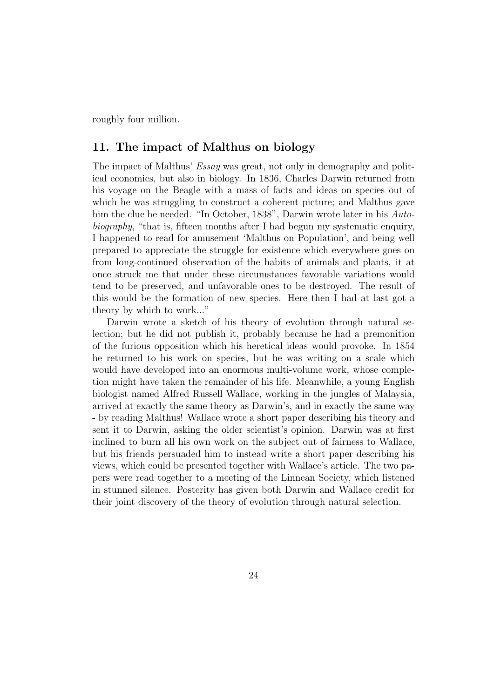roughly four million.

# 11. The impact of Malthus on biology

The impact of Malthus' Essay was great, not only in demography and political economics, but also in biology. In 1836, Charles Darwin returned from his voyage on the Beagle with a mass of facts and ideas on species out of which he was struggling to construct a coherent picture; and Malthus gave him the clue he needed. "In October, 1838", Darwin wrote later in his Autobiography, "that is, fifteen months after I had begun my systematic enquiry, I happened to read for amusement 'Malthus on Population', and being well prepared to appreciate the struggle for existence which everywhere goes on from long-continued observation of the habits of animals and plants, it at once struck me that under these circumstances favorable variations would tend to be preserved, and unfavorable ones to be destroyed. The result of this would be the formation of new species. Here then I had at last got a theory by which to work..."

Darwin wrote a sketch of his theory of evolution through natural selection; but he did not publish it, probably because he had a premonition of the furious opposition which his heretical ideas would provoke. In 1854 he returned to his work on species, but he was writing on a scale which would have developed into an enormous multi-volume work, whose completion might have taken the remainder of his life. Meanwhile, a young English biologist named Alfred Russell Wallace, working in the jungles of Malaysia, arrived at exactly the same theory as Darwin's, and in exactly the same way - by reading Malthus! Wallace wrote a short paper describing his theory and sent it to Darwin, asking the older scientist's opinion. Darwin was at first inclined to burn all his own work on the subject out of fairness to Wallace, but his friends persuaded him to instead write a short paper describing his views, which could be presented together with Wallace's article. The two papers were read together to a meeting of the Linnean Society, which listened in stunned silence. Posterity has given both Darwin and Wallace credit for their joint discovery of the theory of evolution through natural selection.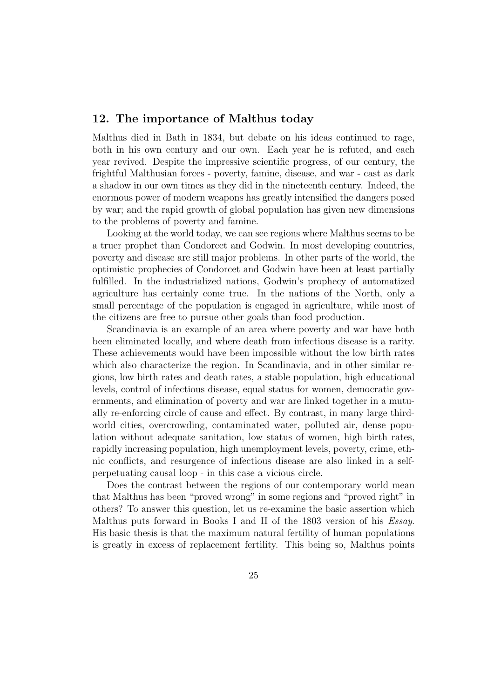# 12. The importance of Malthus today

Malthus died in Bath in 1834, but debate on his ideas continued to rage, both in his own century and our own. Each year he is refuted, and each year revived. Despite the impressive scientific progress, of our century, the frightful Malthusian forces - poverty, famine, disease, and war - cast as dark a shadow in our own times as they did in the nineteenth century. Indeed, the enormous power of modern weapons has greatly intensified the dangers posed by war; and the rapid growth of global population has given new dimensions to the problems of poverty and famine.

Looking at the world today, we can see regions where Malthus seems to be a truer prophet than Condorcet and Godwin. In most developing countries, poverty and disease are still major problems. In other parts of the world, the optimistic prophecies of Condorcet and Godwin have been at least partially fulfilled. In the industrialized nations, Godwin's prophecy of automatized agriculture has certainly come true. In the nations of the North, only a small percentage of the population is engaged in agriculture, while most of the citizens are free to pursue other goals than food production.

Scandinavia is an example of an area where poverty and war have both been eliminated locally, and where death from infectious disease is a rarity. These achievements would have been impossible without the low birth rates which also characterize the region. In Scandinavia, and in other similar regions, low birth rates and death rates, a stable population, high educational levels, control of infectious disease, equal status for women, democratic governments, and elimination of poverty and war are linked together in a mutually re-enforcing circle of cause and effect. By contrast, in many large thirdworld cities, overcrowding, contaminated water, polluted air, dense population without adequate sanitation, low status of women, high birth rates, rapidly increasing population, high unemployment levels, poverty, crime, ethnic conflicts, and resurgence of infectious disease are also linked in a selfperpetuating causal loop - in this case a vicious circle.

Does the contrast between the regions of our contemporary world mean that Malthus has been "proved wrong" in some regions and "proved right" in others? To answer this question, let us re-examine the basic assertion which Malthus puts forward in Books I and II of the 1803 version of his Essay. His basic thesis is that the maximum natural fertility of human populations is greatly in excess of replacement fertility. This being so, Malthus points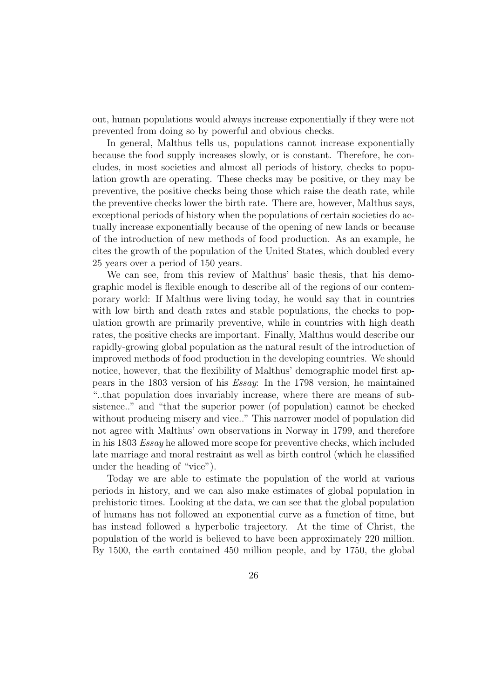out, human populations would always increase exponentially if they were not prevented from doing so by powerful and obvious checks.

In general, Malthus tells us, populations cannot increase exponentially because the food supply increases slowly, or is constant. Therefore, he concludes, in most societies and almost all periods of history, checks to population growth are operating. These checks may be positive, or they may be preventive, the positive checks being those which raise the death rate, while the preventive checks lower the birth rate. There are, however, Malthus says, exceptional periods of history when the populations of certain societies do actually increase exponentially because of the opening of new lands or because of the introduction of new methods of food production. As an example, he cites the growth of the population of the United States, which doubled every 25 years over a period of 150 years.

We can see, from this review of Malthus' basic thesis, that his demographic model is flexible enough to describe all of the regions of our contemporary world: If Malthus were living today, he would say that in countries with low birth and death rates and stable populations, the checks to population growth are primarily preventive, while in countries with high death rates, the positive checks are important. Finally, Malthus would describe our rapidly-growing global population as the natural result of the introduction of improved methods of food production in the developing countries. We should notice, however, that the flexibility of Malthus' demographic model first appears in the 1803 version of his Essay: In the 1798 version, he maintained "..that population does invariably increase, where there are means of subsistence.." and "that the superior power (of population) cannot be checked without producing misery and vice.." This narrower model of population did not agree with Malthus' own observations in Norway in 1799, and therefore in his 1803 Essay he allowed more scope for preventive checks, which included late marriage and moral restraint as well as birth control (which he classified under the heading of "vice").

Today we are able to estimate the population of the world at various periods in history, and we can also make estimates of global population in prehistoric times. Looking at the data, we can see that the global population of humans has not followed an exponential curve as a function of time, but has instead followed a hyperbolic trajectory. At the time of Christ, the population of the world is believed to have been approximately 220 million. By 1500, the earth contained 450 million people, and by 1750, the global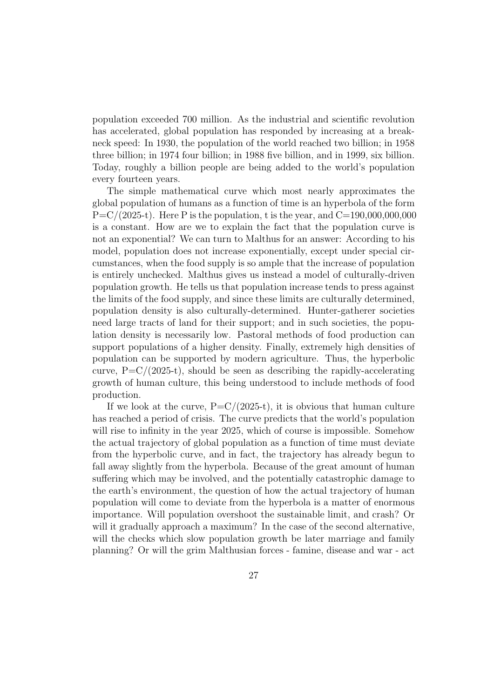population exceeded 700 million. As the industrial and scientific revolution has accelerated, global population has responded by increasing at a breakneck speed: In 1930, the population of the world reached two billion; in 1958 three billion; in 1974 four billion; in 1988 five billion, and in 1999, six billion. Today, roughly a billion people are being added to the world's population every fourteen years.

The simple mathematical curve which most nearly approximates the global population of humans as a function of time is an hyperbola of the form  $P=C/(2025-t)$ . Here P is the population, t is the year, and  $C=190,000,000,000$ is a constant. How are we to explain the fact that the population curve is not an exponential? We can turn to Malthus for an answer: According to his model, population does not increase exponentially, except under special circumstances, when the food supply is so ample that the increase of population is entirely unchecked. Malthus gives us instead a model of culturally-driven population growth. He tells us that population increase tends to press against the limits of the food supply, and since these limits are culturally determined, population density is also culturally-determined. Hunter-gatherer societies need large tracts of land for their support; and in such societies, the population density is necessarily low. Pastoral methods of food production can support populations of a higher density. Finally, extremely high densities of population can be supported by modern agriculture. Thus, the hyperbolic curve,  $P=C/(2025-t)$ , should be seen as describing the rapidly-accelerating growth of human culture, this being understood to include methods of food production.

If we look at the curve,  $P=C/(2025-t)$ , it is obvious that human culture has reached a period of crisis. The curve predicts that the world's population will rise to infinity in the year 2025, which of course is impossible. Somehow the actual trajectory of global population as a function of time must deviate from the hyperbolic curve, and in fact, the trajectory has already begun to fall away slightly from the hyperbola. Because of the great amount of human suffering which may be involved, and the potentially catastrophic damage to the earth's environment, the question of how the actual trajectory of human population will come to deviate from the hyperbola is a matter of enormous importance. Will population overshoot the sustainable limit, and crash? Or will it gradually approach a maximum? In the case of the second alternative, will the checks which slow population growth be later marriage and family planning? Or will the grim Malthusian forces - famine, disease and war - act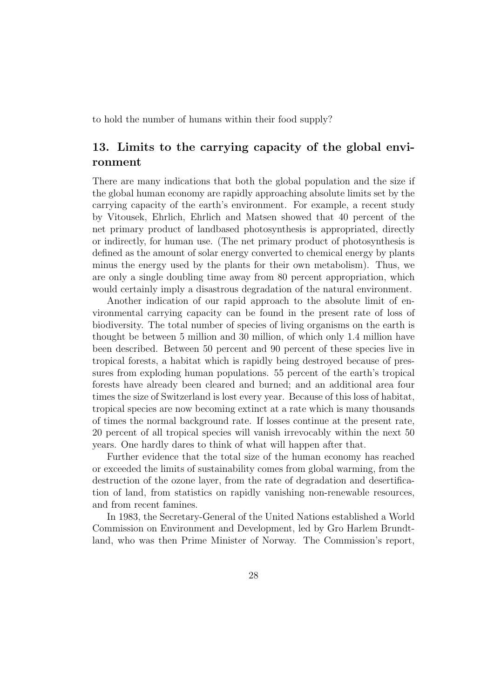to hold the number of humans within their food supply?

# 13. Limits to the carrying capacity of the global environment

There are many indications that both the global population and the size if the global human economy are rapidly approaching absolute limits set by the carrying capacity of the earth's environment. For example, a recent study by Vitousek, Ehrlich, Ehrlich and Matsen showed that 40 percent of the net primary product of landbased photosynthesis is appropriated, directly or indirectly, for human use. (The net primary product of photosynthesis is defined as the amount of solar energy converted to chemical energy by plants minus the energy used by the plants for their own metabolism). Thus, we are only a single doubling time away from 80 percent appropriation, which would certainly imply a disastrous degradation of the natural environment.

Another indication of our rapid approach to the absolute limit of environmental carrying capacity can be found in the present rate of loss of biodiversity. The total number of species of living organisms on the earth is thought be between 5 million and 30 million, of which only 1.4 million have been described. Between 50 percent and 90 percent of these species live in tropical forests, a habitat which is rapidly being destroyed because of pressures from exploding human populations. 55 percent of the earth's tropical forests have already been cleared and burned; and an additional area four times the size of Switzerland is lost every year. Because of this loss of habitat, tropical species are now becoming extinct at a rate which is many thousands of times the normal background rate. If losses continue at the present rate, 20 percent of all tropical species will vanish irrevocably within the next 50 years. One hardly dares to think of what will happen after that.

Further evidence that the total size of the human economy has reached or exceeded the limits of sustainability comes from global warming, from the destruction of the ozone layer, from the rate of degradation and desertification of land, from statistics on rapidly vanishing non-renewable resources, and from recent famines.

In 1983, the Secretary-General of the United Nations established a World Commission on Environment and Development, led by Gro Harlem Brundtland, who was then Prime Minister of Norway. The Commission's report,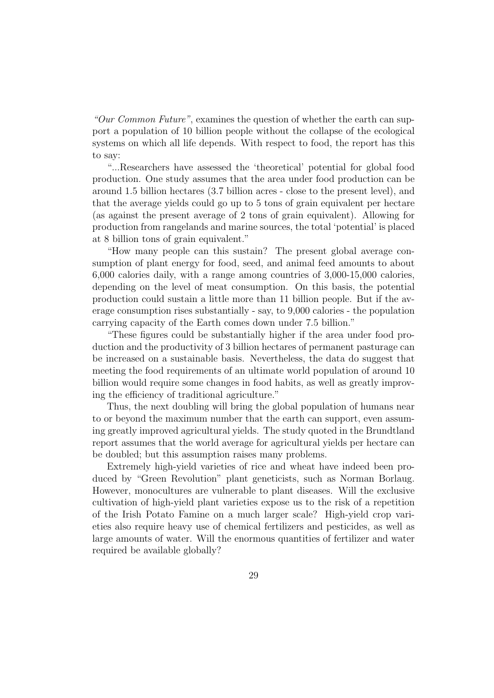"Our Common Future", examines the question of whether the earth can support a population of 10 billion people without the collapse of the ecological systems on which all life depends. With respect to food, the report has this to say:

"...Researchers have assessed the 'theoretical' potential for global food production. One study assumes that the area under food production can be around 1.5 billion hectares (3.7 billion acres - close to the present level), and that the average yields could go up to 5 tons of grain equivalent per hectare (as against the present average of 2 tons of grain equivalent). Allowing for production from rangelands and marine sources, the total 'potential' is placed at 8 billion tons of grain equivalent."

"How many people can this sustain? The present global average consumption of plant energy for food, seed, and animal feed amounts to about 6,000 calories daily, with a range among countries of 3,000-15,000 calories, depending on the level of meat consumption. On this basis, the potential production could sustain a little more than 11 billion people. But if the average consumption rises substantially - say, to 9,000 calories - the population carrying capacity of the Earth comes down under 7.5 billion."

"These figures could be substantially higher if the area under food production and the productivity of 3 billion hectares of permanent pasturage can be increased on a sustainable basis. Nevertheless, the data do suggest that meeting the food requirements of an ultimate world population of around 10 billion would require some changes in food habits, as well as greatly improving the efficiency of traditional agriculture."

Thus, the next doubling will bring the global population of humans near to or beyond the maximum number that the earth can support, even assuming greatly improved agricultural yields. The study quoted in the Brundtland report assumes that the world average for agricultural yields per hectare can be doubled; but this assumption raises many problems.

Extremely high-yield varieties of rice and wheat have indeed been produced by "Green Revolution" plant geneticists, such as Norman Borlaug. However, monocultures are vulnerable to plant diseases. Will the exclusive cultivation of high-yield plant varieties expose us to the risk of a repetition of the Irish Potato Famine on a much larger scale? High-yield crop varieties also require heavy use of chemical fertilizers and pesticides, as well as large amounts of water. Will the enormous quantities of fertilizer and water required be available globally?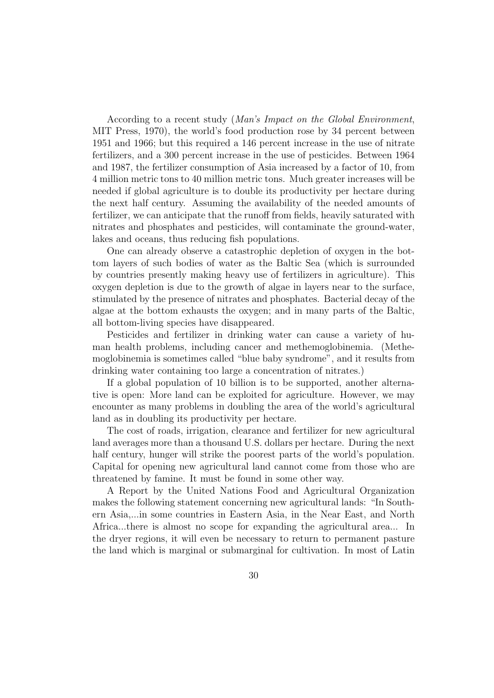According to a recent study (Man's Impact on the Global Environment, MIT Press, 1970), the world's food production rose by 34 percent between 1951 and 1966; but this required a 146 percent increase in the use of nitrate fertilizers, and a 300 percent increase in the use of pesticides. Between 1964 and 1987, the fertilizer consumption of Asia increased by a factor of 10, from 4 million metric tons to 40 million metric tons. Much greater increases will be needed if global agriculture is to double its productivity per hectare during the next half century. Assuming the availability of the needed amounts of fertilizer, we can anticipate that the runoff from fields, heavily saturated with nitrates and phosphates and pesticides, will contaminate the ground-water, lakes and oceans, thus reducing fish populations.

One can already observe a catastrophic depletion of oxygen in the bottom layers of such bodies of water as the Baltic Sea (which is surrounded by countries presently making heavy use of fertilizers in agriculture). This oxygen depletion is due to the growth of algae in layers near to the surface, stimulated by the presence of nitrates and phosphates. Bacterial decay of the algae at the bottom exhausts the oxygen; and in many parts of the Baltic, all bottom-living species have disappeared.

Pesticides and fertilizer in drinking water can cause a variety of human health problems, including cancer and methemoglobinemia. (Methemoglobinemia is sometimes called "blue baby syndrome", and it results from drinking water containing too large a concentration of nitrates.)

If a global population of 10 billion is to be supported, another alternative is open: More land can be exploited for agriculture. However, we may encounter as many problems in doubling the area of the world's agricultural land as in doubling its productivity per hectare.

The cost of roads, irrigation, clearance and fertilizer for new agricultural land averages more than a thousand U.S. dollars per hectare. During the next half century, hunger will strike the poorest parts of the world's population. Capital for opening new agricultural land cannot come from those who are threatened by famine. It must be found in some other way.

A Report by the United Nations Food and Agricultural Organization makes the following statement concerning new agricultural lands: "In Southern Asia,...in some countries in Eastern Asia, in the Near East, and North Africa...there is almost no scope for expanding the agricultural area... In the dryer regions, it will even be necessary to return to permanent pasture the land which is marginal or submarginal for cultivation. In most of Latin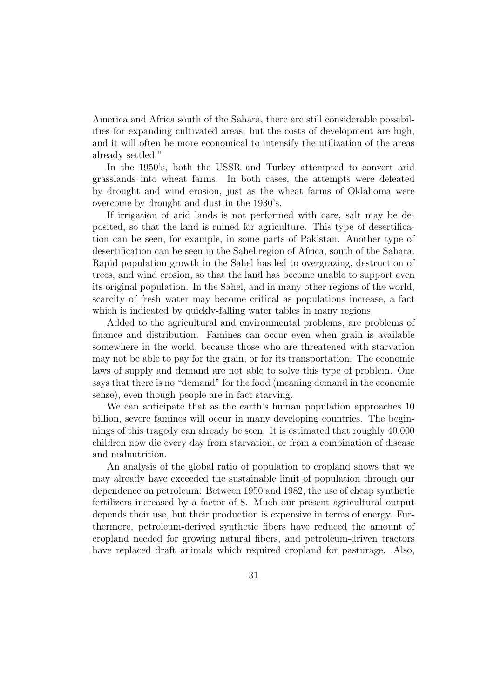America and Africa south of the Sahara, there are still considerable possibilities for expanding cultivated areas; but the costs of development are high, and it will often be more economical to intensify the utilization of the areas already settled."

In the 1950's, both the USSR and Turkey attempted to convert arid grasslands into wheat farms. In both cases, the attempts were defeated by drought and wind erosion, just as the wheat farms of Oklahoma were overcome by drought and dust in the 1930's.

If irrigation of arid lands is not performed with care, salt may be deposited, so that the land is ruined for agriculture. This type of desertification can be seen, for example, in some parts of Pakistan. Another type of desertification can be seen in the Sahel region of Africa, south of the Sahara. Rapid population growth in the Sahel has led to overgrazing, destruction of trees, and wind erosion, so that the land has become unable to support even its original population. In the Sahel, and in many other regions of the world, scarcity of fresh water may become critical as populations increase, a fact which is indicated by quickly-falling water tables in many regions.

Added to the agricultural and environmental problems, are problems of finance and distribution. Famines can occur even when grain is available somewhere in the world, because those who are threatened with starvation may not be able to pay for the grain, or for its transportation. The economic laws of supply and demand are not able to solve this type of problem. One says that there is no "demand" for the food (meaning demand in the economic sense), even though people are in fact starving.

We can anticipate that as the earth's human population approaches 10 billion, severe famines will occur in many developing countries. The beginnings of this tragedy can already be seen. It is estimated that roughly 40,000 children now die every day from starvation, or from a combination of disease and malnutrition.

An analysis of the global ratio of population to cropland shows that we may already have exceeded the sustainable limit of population through our dependence on petroleum: Between 1950 and 1982, the use of cheap synthetic fertilizers increased by a factor of 8. Much our present agricultural output depends their use, but their production is expensive in terms of energy. Furthermore, petroleum-derived synthetic fibers have reduced the amount of cropland needed for growing natural fibers, and petroleum-driven tractors have replaced draft animals which required cropland for pasturage. Also,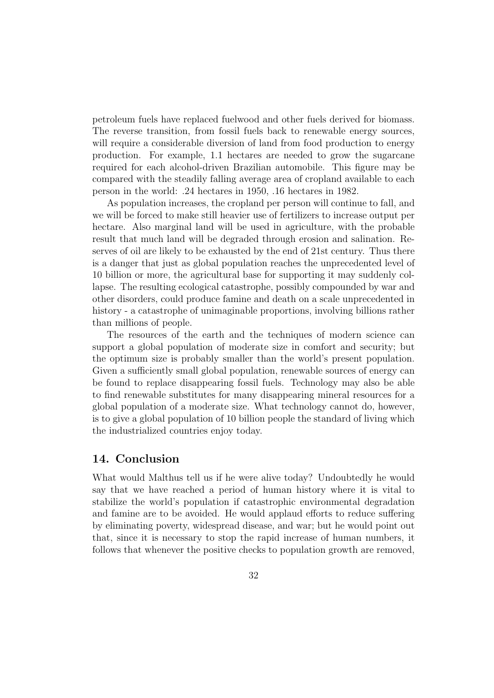petroleum fuels have replaced fuelwood and other fuels derived for biomass. The reverse transition, from fossil fuels back to renewable energy sources, will require a considerable diversion of land from food production to energy production. For example, 1.1 hectares are needed to grow the sugarcane required for each alcohol-driven Brazilian automobile. This figure may be compared with the steadily falling average area of cropland available to each person in the world: .24 hectares in 1950, .16 hectares in 1982.

As population increases, the cropland per person will continue to fall, and we will be forced to make still heavier use of fertilizers to increase output per hectare. Also marginal land will be used in agriculture, with the probable result that much land will be degraded through erosion and salination. Reserves of oil are likely to be exhausted by the end of 21st century. Thus there is a danger that just as global population reaches the unprecedented level of 10 billion or more, the agricultural base for supporting it may suddenly collapse. The resulting ecological catastrophe, possibly compounded by war and other disorders, could produce famine and death on a scale unprecedented in history - a catastrophe of unimaginable proportions, involving billions rather than millions of people.

The resources of the earth and the techniques of modern science can support a global population of moderate size in comfort and security; but the optimum size is probably smaller than the world's present population. Given a sufficiently small global population, renewable sources of energy can be found to replace disappearing fossil fuels. Technology may also be able to find renewable substitutes for many disappearing mineral resources for a global population of a moderate size. What technology cannot do, however, is to give a global population of 10 billion people the standard of living which the industrialized countries enjoy today.

#### 14. Conclusion

What would Malthus tell us if he were alive today? Undoubtedly he would say that we have reached a period of human history where it is vital to stabilize the world's population if catastrophic environmental degradation and famine are to be avoided. He would applaud efforts to reduce suffering by eliminating poverty, widespread disease, and war; but he would point out that, since it is necessary to stop the rapid increase of human numbers, it follows that whenever the positive checks to population growth are removed,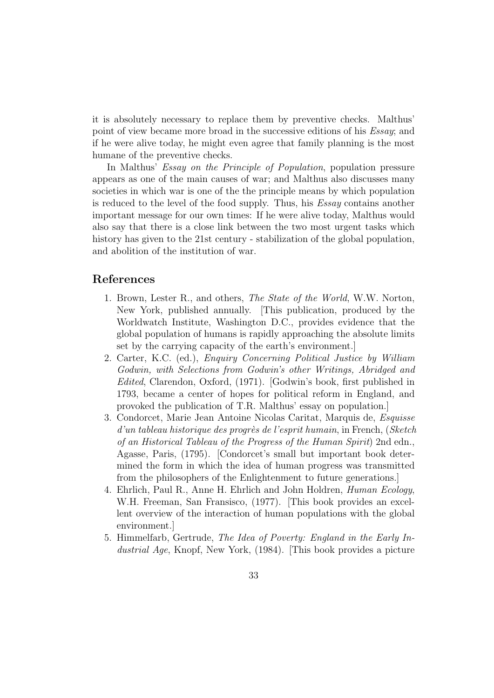it is absolutely necessary to replace them by preventive checks. Malthus' point of view became more broad in the successive editions of his Essay; and if he were alive today, he might even agree that family planning is the most humane of the preventive checks.

In Malthus' *Essay on the Principle of Population*, population pressure appears as one of the main causes of war; and Malthus also discusses many societies in which war is one of the the principle means by which population is reduced to the level of the food supply. Thus, his Essay contains another important message for our own times: If he were alive today, Malthus would also say that there is a close link between the two most urgent tasks which history has given to the 21st century - stabilization of the global population, and abolition of the institution of war.

# References

- 1. Brown, Lester R., and others, The State of the World, W.W. Norton, New York, published annually. [This publication, produced by the Worldwatch Institute, Washington D.C., provides evidence that the global population of humans is rapidly approaching the absolute limits set by the carrying capacity of the earth's environment.]
- 2. Carter, K.C. (ed.), Enquiry Concerning Political Justice by William Godwin, with Selections from Godwin's other Writings, Abridged and Edited, Clarendon, Oxford, (1971). [Godwin's book, first published in 1793, became a center of hopes for political reform in England, and provoked the publication of T.R. Malthus' essay on population.]
- 3. Condorcet, Marie Jean Antoine Nicolas Caritat, Marquis de, Esquisse  $d'un tableau historique des progrès de l'esprit humain, in French, (Sketch)$ of an Historical Tableau of the Progress of the Human Spirit) 2nd edn., Agasse, Paris, (1795). [Condorcet's small but important book determined the form in which the idea of human progress was transmitted from the philosophers of the Enlightenment to future generations.]
- 4. Ehrlich, Paul R., Anne H. Ehrlich and John Holdren, Human Ecology, W.H. Freeman, San Fransisco, (1977). [This book provides an excellent overview of the interaction of human populations with the global environment.]
- 5. Himmelfarb, Gertrude, The Idea of Poverty: England in the Early Industrial Age, Knopf, New York, (1984). [This book provides a picture